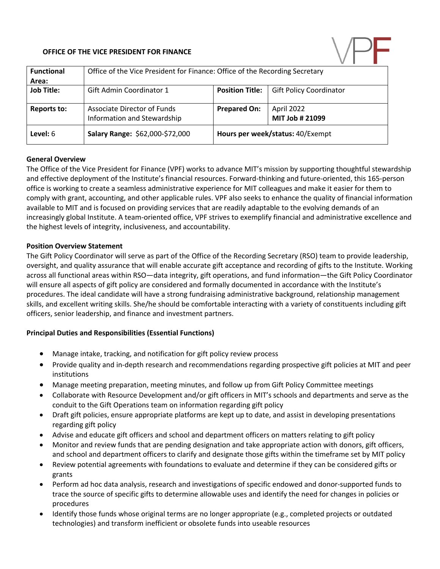#### **OFFICE OF THE VICE PRESIDENT FOR FINANCE**



| <b>Functional</b><br>Area: | Office of the Vice President for Finance: Office of the Recording Secretary |                        |                                  |  |
|----------------------------|-----------------------------------------------------------------------------|------------------------|----------------------------------|--|
| <b>Job Title:</b>          | Gift Admin Coordinator 1                                                    | <b>Position Title:</b> | <b>Gift Policy Coordinator</b>   |  |
| Reports to:                | Associate Director of Funds<br>Information and Stewardship                  | <b>Prepared On:</b>    | April 2022<br>MIT Job # 21099    |  |
| Level: 6                   | Salary Range: \$62,000-\$72,000                                             |                        | Hours per week/status: 40/Exempt |  |

#### **General Overview**

The Office of the Vice President for Finance (VPF) works to advance MIT's mission by supporting thoughtful stewardship and effective deployment of the Institute's financial resources. Forward-thinking and future-oriented, this 165-person office is working to create a seamless administrative experience for MIT colleagues and make it easier for them to comply with grant, accounting, and other applicable rules. VPF also seeks to enhance the quality of financial information available to MIT and is focused on providing services that are readily adaptable to the evolving demands of an increasingly global Institute. A team-oriented office, VPF strives to exemplify financial and administrative excellence and the highest levels of integrity, inclusiveness, and accountability.

#### **Position Overview Statement**

The Gift Policy Coordinator will serve as part of the Office of the Recording Secretary (RSO) team to provide leadership, oversight, and quality assurance that will enable accurate gift acceptance and recording of gifts to the Institute. Working across all functional areas within RSO—data integrity, gift operations, and fund information—the Gift Policy Coordinator will ensure all aspects of gift policy are considered and formally documented in accordance with the Institute's procedures. The ideal candidate will have a strong fundraising administrative background, relationship management skills, and excellent writing skills. She/he should be comfortable interacting with a variety of constituents including gift officers, senior leadership, and finance and investment partners.

#### **Principal Duties and Responsibilities (Essential Functions)**

- Manage intake, tracking, and notification for gift policy review process
- Provide quality and in-depth research and recommendations regarding prospective gift policies at MIT and peer institutions
- Manage meeting preparation, meeting minutes, and follow up from Gift Policy Committee meetings
- Collaborate with Resource Development and/or gift officers in MIT's schools and departments and serve as the conduit to the Gift Operations team on information regarding gift policy
- Draft gift policies, ensure appropriate platforms are kept up to date, and assist in developing presentations regarding gift policy
- Advise and educate gift officers and school and department officers on matters relating to gift policy
- Monitor and review funds that are pending designation and take appropriate action with donors, gift officers, and school and department officers to clarify and designate those gifts within the timeframe set by MIT policy
- Review potential agreements with foundations to evaluate and determine if they can be considered gifts or grants
- Perform ad hoc data analysis, research and investigations of specific endowed and donor-supported funds to trace the source of specific gifts to determine allowable uses and identify the need for changes in policies or procedures
- Identify those funds whose original terms are no longer appropriate (e.g., completed projects or outdated technologies) and transform inefficient or obsolete funds into useable resources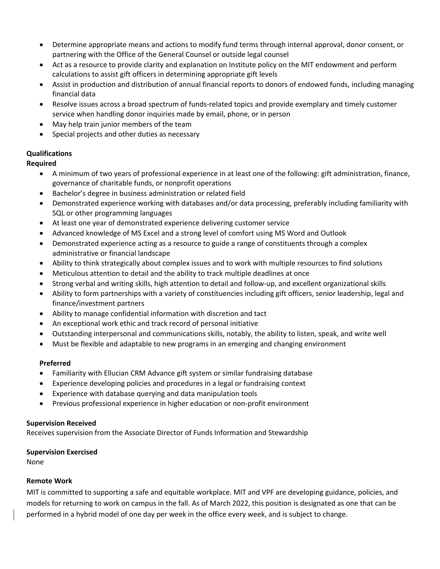- Determine appropriate means and actions to modify fund terms through internal approval, donor consent, or partnering with the Office of the General Counsel or outside legal counsel
- Act as a resource to provide clarity and explanation on Institute policy on the MIT endowment and perform calculations to assist gift officers in determining appropriate gift levels
- Assist in production and distribution of annual financial reports to donors of endowed funds, including managing financial data
- Resolve issues across a broad spectrum of funds-related topics and provide exemplary and timely customer service when handling donor inquiries made by email, phone, or in person
- May help train junior members of the team
- Special projects and other duties as necessary

# **Qualifications**

**Required**

- A minimum of two years of professional experience in at least one of the following: gift administration, finance, governance of charitable funds, or nonprofit operations
- Bachelor's degree in business administration or related field
- Demonstrated experience working with databases and/or data processing, preferably including familiarity with SQL or other programming languages
- At least one year of demonstrated experience delivering customer service
- Advanced knowledge of MS Excel and a strong level of comfort using MS Word and Outlook
- Demonstrated experience acting as a resource to guide a range of constituents through a complex administrative or financial landscape
- Ability to think strategically about complex issues and to work with multiple resources to find solutions
- Meticulous attention to detail and the ability to track multiple deadlines at once
- Strong verbal and writing skills, high attention to detail and follow-up, and excellent organizational skills
- Ability to form partnerships with a variety of constituencies including gift officers, senior leadership, legal and finance/investment partners
- Ability to manage confidential information with discretion and tact
- An exceptional work ethic and track record of personal initiative
- Outstanding interpersonal and communications skills, notably, the ability to listen, speak, and write well
- Must be flexible and adaptable to new programs in an emerging and changing environment

## **Preferred**

- Familiarity with Ellucian CRM Advance gift system or similar fundraising database
- Experience developing policies and procedures in a legal or fundraising context
- Experience with database querying and data manipulation tools
- Previous professional experience in higher education or non-profit environment

## **Supervision Received**

Receives supervision from the Associate Director of Funds Information and Stewardship

## **Supervision Exercised**

None

## **Remote Work**

MIT is committed to supporting a safe and equitable workplace. MIT and VPF are developing guidance, policies, and models for returning to work on campus in the fall. As of March 2022, this position is designated as one that can be performed in a hybrid model of one day per week in the office every week, and is subject to change.